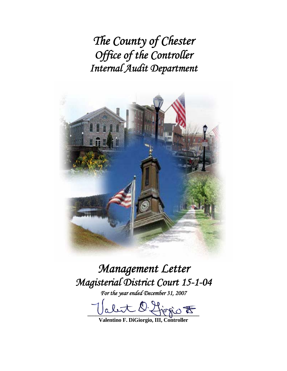*The County of Chester Office of the Controller Internal Audit Department* 



# *Management Letter Magisterial District Court 15-1-04*

*For the year ended December 31, 2007* 

 $\bigoplus_{i=1}^n \phi_i$ 

**Valentino F. DiGiorgio, III, Controller**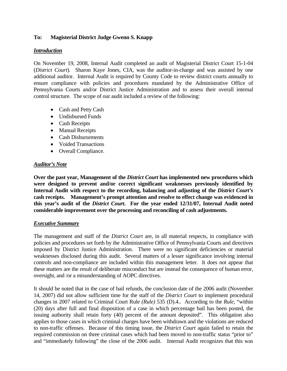# **To: Magisterial District Judge Gwenn S. Knapp**

#### *Introduction*

On November 19, 2008, Internal Audit completed an audit of Magisterial District Court 15-1-04 (*District Court*). Sharon Kaye Jones, CIA, was the auditor-in-charge and was assisted by one additional auditor. Internal Audit is required by County Code to review district courts annually to ensure compliance with policies and procedures mandated by the Administrative Office of Pennsylvania Courts and/or District Justice Administration and to assess their overall internal control structure. The scope of our audit included a review of the following:

- Cash and Petty Cash
- Undisbursed Funds
- Cash Receipts
- Manual Receipts
- Cash Disbursements
- Voided Transactions
- Overall Compliance.

#### *Auditor's Note*

**Over the past year, Management of the** *District Court* **has implemented new procedures which were designed to prevent and/or correct significant weaknesses previously identified by**  Internal Audit with respect to the recording, balancing and adjusting of the *District Court's* **cash receipts. Management's prompt attention and resolve to effect change was evidenced in this year's audit of the** *District Court***. For the year ended 12/31/07, Internal Audit noted considerable improvement over the processing and reconciling of cash adjustments.** 

#### *Executive Summary*

The management and staff of the *District Court* are, in all material respects, in compliance with policies and procedures set forth by the Administrative Office of Pennsylvania Courts and directives imposed by District Justice Administration. There were no significant deficiencies or material weaknesses disclosed during this audit. Several matters of a lesser significance involving internal controls and non-compliance are included within this management letter. It does not appear that these matters are the result of deliberate misconduct but are instead the consequence of human error, oversight, and /or a misunderstanding of AOPC directives.

It should be noted that in the case of bail refunds, the conclusion date of the 2006 audit (November 14, 2007) did not allow sufficient time for the staff of the *District Court* to implement procedural changes in 2007 related to Criminal Court Rule *(Rule)* 535 (D).4.. According to the *Rule,* "within (20) days after full and final disposition of a case in which percentage bail has been posted, the issuing authority shall retain forty (40) percent of the amount deposited". This obligation also applies to those cases in which criminal charges have been withdrawn and the violations are reduced to non-traffic offenses. Because of this timing issue, the *District Court* again failed to retain the required commission on three criminal cases which had been moved to non-traffic status "prior to" and "immediately following" the close of the 2006 audit. Internal Audit recognizes that this was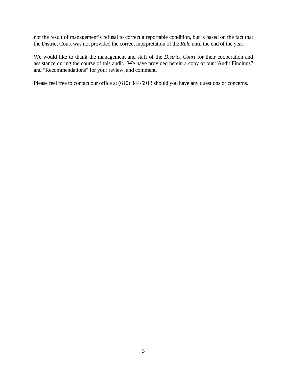not the result of management's refusal to correct a reportable condition, but is based on the fact that the District Court was not provided the correct interpretation of the *Rule* until the end of the year.

We would like to thank the management and staff of the *District Court* for their cooperation and assistance during the course of this audit. We have provided herein a copy of our "Audit Findings" and "Recommendations" for your review, and comment.

Please feel free to contact our office at (610) 344-5913 should you have any questions or concerns.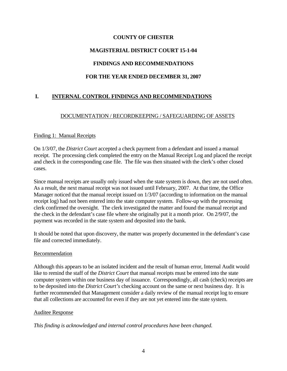# **MAGISTERIAL DISTRICT COURT 15-1-04**

# **FINDINGS AND RECOMMENDATIONS**

# **FOR THE YEAR ENDED DECEMBER 31, 2007**

# **I. INTERNAL CONTROL FINDINGS AND RECOMMENDATIONS**

# DOCUMENTATION / RECORDKEEPING / SAFEGUARDING OF ASSETS

#### Finding 1: Manual Receipts

On 1/3/07, the *District Court* accepted a check payment from a defendant and issued a manual receipt. The processing clerk completed the entry on the Manual Receipt Log and placed the receipt and check in the corresponding case file. The file was then situated with the clerk's other closed cases.

Since manual receipts are usually only issued when the state system is down, they are not used often. As a result, the next manual receipt was not issued until February, 2007. At that time, the Office Manager noticed that the manual receipt issued on 1/3/07 (according to information on the manual receipt log) had not been entered into the state computer system. Follow-up with the processing clerk confirmed the oversight. The clerk investigated the matter and found the manual receipt and the check in the defendant's case file where she originally put it a month prior. On 2/9/07, the payment was recorded in the state system and deposited into the bank.

It should be noted that upon discovery, the matter was properly documented in the defendant's case file and corrected immediately.

#### Recommendation

Although this appears to be an isolated incident and the result of human error, Internal Audit would like to remind the staff of the *District Court* that manual receipts must be entered into the state computer system within one business day of issuance. Correspondingly, all cash (check) receipts are to be deposited into the *District Court's* checking account on the same or next business day. It is further recommended that Management consider a daily review of the manual receipt log to ensure that all collections are accounted for even if they are not yet entered into the state system.

#### Auditee Response

*This finding is acknowledged and internal control procedures have been changed.*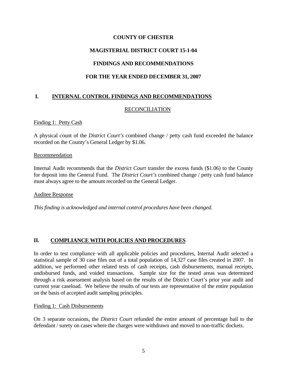# **MAGISTERIAL DISTRICT COURT 15-1-04**

# **FINDINGS AND RECOMMENDATIONS**

# **FOR THE YEAR ENDED DECEMBER 31, 2007**

# **I. INTERNAL CONTROL FINDINGS AND RECOMMENDATIONS**

#### RECONCILIATION

#### Finding 1: Petty Cash

A physical count of the *District Court's* combined change / petty cash fund exceeded the balance recorded on the County's General Ledger by \$1.06.

#### Recommendation

Internal Audit recommends that the *District Court* transfer the excess funds (\$1.06) to the County for deposit into the General Fund. The *District Court's* combined change / petty cash fund balance must always agree to the amount recorded on the General Ledger.

Auditee Response

*This finding is acknowledged and internal control procedures have been changed.*

# **II. COMPLIANCE WITH POLICIES AND PROCEDURES**

In order to test compliance with all applicable policies and procedures, Internal Audit selected a statistical sample of 30 case files out of a total population of 14,327 case files created in 2007. In addition, we performed other related tests of cash receipts, cash disbursements, manual receipts, undisbursed funds, and voided transactions. Sample size for the tested areas was determined through a risk assessment analysis based on the results of the District Court's prior year audit and current year caseload. We believe the results of our tests are representative of the entire population on the basis of accepted audit sampling principles.

#### Finding 1: Cash Disbursements

On 3 separate occasions, the *District Court* refunded the entire amount of percentage bail to the defendant / surety on cases where the charges were withdrawn and moved to non-traffic dockets.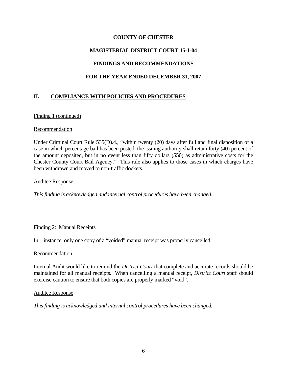# **MAGISTERIAL DISTRICT COURT 15-1-04**

# **FINDINGS AND RECOMMENDATIONS**

# **FOR THE YEAR ENDED DECEMBER 31, 2007**

# **II. COMPLIANCE WITH POLICIES AND PROCEDURES**

#### Finding 1 (continued)

#### Recommendation

Under Criminal Court Rule 535(D).4., "within twenty (20) days after full and final disposition of a case in which percentage bail has been posted, the issuing authority shall retain forty (40) percent of the amount deposited, but in no event less than fifty dollars (\$50) as administrative costs for the Chester County Court Bail Agency." This rule also applies to those cases in which charges have been withdrawn and moved to non-traffic dockets.

#### Auditee Response

*This finding is acknowledged and internal control procedures have been changed.*

#### Finding 2: Manual Receipts

In 1 instance, only one copy of a "voided" manual receipt was properly cancelled.

#### Recommendation

Internal Audit would like to remind the *District Court* that complete and accurate records should be maintained for all manual receipts. When cancelling a manual receipt, *District Court* staff should exercise caution to ensure that both copies are properly marked "void".

#### Auditee Response

*This finding is acknowledged and internal control procedures have been changed.*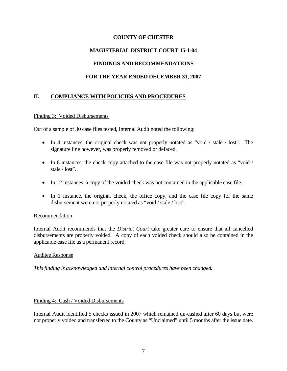# **MAGISTERIAL DISTRICT COURT 15-1-04**

# **FINDINGS AND RECOMMENDATIONS**

# **FOR THE YEAR ENDED DECEMBER 31, 2007**

# **II. COMPLIANCE WITH POLICIES AND PROCEDURES**

#### Finding 3: Voided Disbursements

Out of a sample of 30 case files tested, Internal Audit noted the following:

- In 4 instances, the original check was not properly notated as "void / stale / lost". The signature line however, was properly removed or defaced.
- In 8 instances, the check copy attached to the case file was not properly notated as "void / stale / lost".
- In 12 instances, a copy of the voided check was not contained in the applicable case file.
- In 1 instance, the original check, the office copy, and the case file copy for the same disbursement were not properly notated as "void / stale / lost".

#### Recommendation

Internal Audit recommends that the *District Court* take greater care to ensure that all cancelled disbursements are properly voided. A copy of each voided check should also be contained in the applicable case file as a permanent record.

#### Auditee Response

*This finding is acknowledged and internal control procedures have been changed.*

#### Finding 4: Cash / Voided Disbursements

Internal Audit identified 5 checks issued in 2007 which remained un-cashed after 60 days but were not properly voided and transferred to the County as "Unclaimed" until 5 months after the issue date.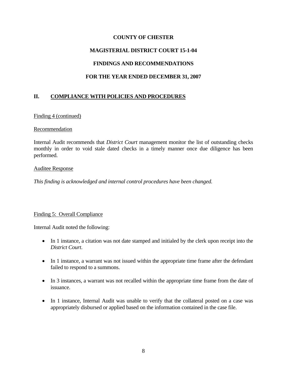# **MAGISTERIAL DISTRICT COURT 15-1-04**

# **FINDINGS AND RECOMMENDATIONS**

# **FOR THE YEAR ENDED DECEMBER 31, 2007**

# **II. COMPLIANCE WITH POLICIES AND PROCEDURES**

#### Finding 4 (continued)

#### Recommendation

Internal Audit recommends that *District Court* management monitor the list of outstanding checks monthly in order to void stale dated checks in a timely manner once due diligence has been performed.

#### Auditee Response

*This finding is acknowledged and internal control procedures have been changed.*

#### Finding 5: Overall Compliance

Internal Audit noted the following:

- In 1 instance, a citation was not date stamped and initialed by the clerk upon receipt into the *District Court*.
- In 1 instance, a warrant was not issued within the appropriate time frame after the defendant failed to respond to a summons.
- In 3 instances, a warrant was not recalled within the appropriate time frame from the date of issuance.
- In 1 instance, Internal Audit was unable to verify that the collateral posted on a case was appropriately disbursed or applied based on the information contained in the case file.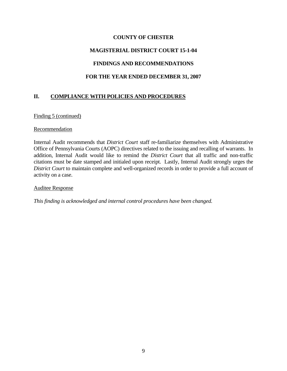#### **MAGISTERIAL DISTRICT COURT 15-1-04**

#### **FINDINGS AND RECOMMENDATIONS**

#### **FOR THE YEAR ENDED DECEMBER 31, 2007**

# **II. COMPLIANCE WITH POLICIES AND PROCEDURES**

#### Finding 5 (continued)

#### Recommendation

Internal Audit recommends that *District Court* staff re-familiarize themselves with Administrative Office of Pennsylvania Courts (AOPC) directives related to the issuing and recalling of warrants. In addition, Internal Audit would like to remind the *District Court* that all traffic and non-traffic citations must be date stamped and initialed upon receipt. Lastly, Internal Audit strongly urges the *District Court* to maintain complete and well-organized records in order to provide a full account of activity on a case.

#### Auditee Response

*This finding is acknowledged and internal control procedures have been changed.*